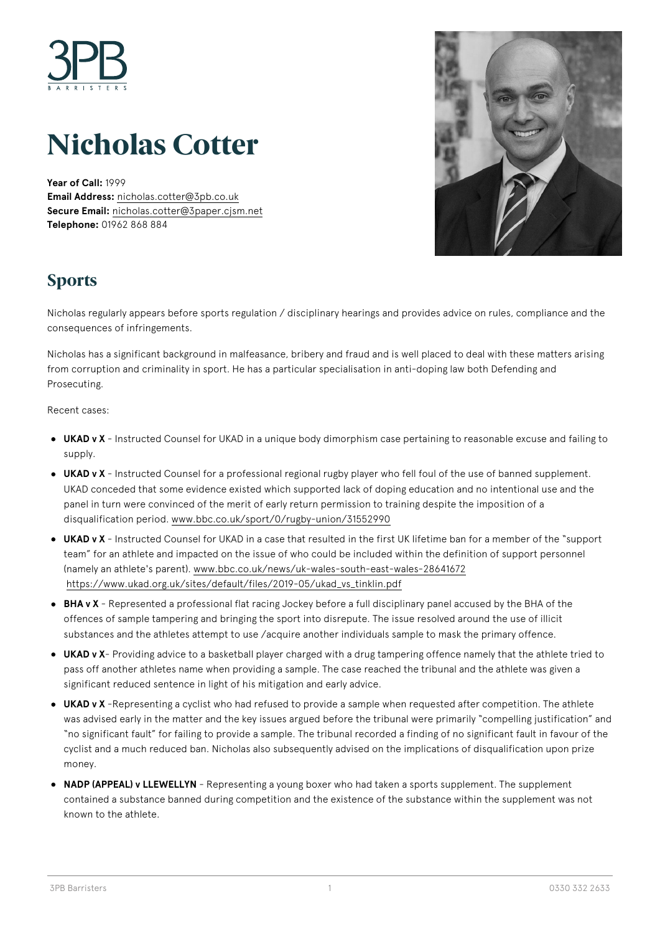

# **Nicholas Cotter**

**Year of Call:** 1999 **Email Address:** [nicholas.cotter@3pb.co.uk](mailto:nicholas.cotter@3pb.co.uk) **Secure Email:** [nicholas.cotter@3paper.cjsm.net](mailto:nicholas.cotter@3paper.cjsm.net) **Telephone:** 01962 868 884



# **Sports**

Nicholas regularly appears before sports regulation / disciplinary hearings and provides advice on rules, compliance and the consequences of infringements.

Nicholas has a significant background in malfeasance, bribery and fraud and is well placed to deal with these matters arising from corruption and criminality in sport. He has a particular specialisation in anti-doping law both Defending and Prosecuting.

Recent cases:

- **UKAD v X** Instructed Counsel for UKAD in a unique body dimorphism case pertaining to reasonable excuse and failing to supply.
- **UKAD v X** Instructed Counsel for a professional regional rugby player who fell foul of the use of banned supplement. UKAD conceded that some evidence existed which supported lack of doping education and no intentional use and the panel in turn were convinced of the merit of early return permission to training despite the imposition of a disqualification period. [www.bbc.co.uk/sport/0/rugby-union/31552990](http://www.bbc.co.uk/sport/0/rugby-union/31552990)
- **UKAD v X** Instructed Counsel for UKAD in a case that resulted in the first UK lifetime ban for a member of the "support team" for an athlete and impacted on the issue of who could be included within the definition of support personnel (namely an athlete's parent). [www.bbc.co.uk/news/uk-wales-south-east-wales-28641672](http://www.bbc.co.uk/news/uk-wales-south-east-wales-28641672) [https://www.ukad.org.uk/sites/default/files/2019-05/ukad\\_vs\\_tinklin.pdf](https://www.ukad.org.uk/sites/default/files/2019-05/ukad_vs_tinklin.pdf)
- **BHA v X** Represented a professional flat racing Jockey before a full disciplinary panel accused by the BHA of the offences of sample tampering and bringing the sport into disrepute. The issue resolved around the use of illicit substances and the athletes attempt to use /acquire another individuals sample to mask the primary offence.
- **UKAD v X** Providing advice to a basketball player charged with a drug tampering offence namely that the athlete tried to pass off another athletes name when providing a sample. The case reached the tribunal and the athlete was given a significant reduced sentence in light of his mitigation and early advice.
- **UKAD v X** -Representing a cyclist who had refused to provide a sample when requested after competition. The athlete was advised early in the matter and the key issues argued before the tribunal were primarily "compelling justification" and "no significant fault" for failing to provide a sample. The tribunal recorded a finding of no significant fault in favour of the cyclist and a much reduced ban. Nicholas also subsequently advised on the implications of disqualification upon prize money.
- **NADP (APPEAL) v LLEWELLYN** Representing a young boxer who had taken a sports supplement. The supplement contained a substance banned during competition and the existence of the substance within the supplement was not known to the athlete.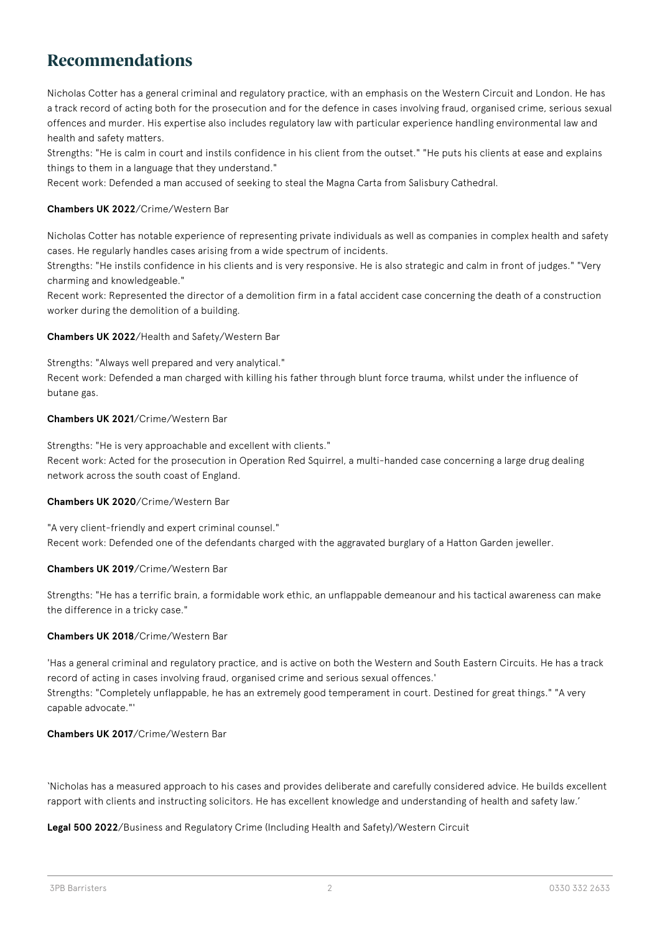# **Recommendations**

Nicholas Cotter has a general criminal and regulatory practice, with an emphasis on the Western Circuit and London. He has a track record of acting both for the prosecution and for the defence in cases involving fraud, organised crime, serious sexual offences and murder. His expertise also includes regulatory law with particular experience handling environmental law and health and safety matters.

Strengths: "He is calm in court and instils confidence in his client from the outset." "He puts his clients at ease and explains things to them in a language that they understand."

Recent work: Defended a man accused of seeking to steal the Magna Carta from Salisbury Cathedral.

### **Chambers UK 2022**/Crime/Western Bar

Nicholas Cotter has notable experience of representing private individuals as well as companies in complex health and safety cases. He regularly handles cases arising from a wide spectrum of incidents.

Strengths: "He instils confidence in his clients and is very responsive. He is also strategic and calm in front of judges." "Very charming and knowledgeable."

Recent work: Represented the director of a demolition firm in a fatal accident case concerning the death of a construction worker during the demolition of a building.

### **Chambers UK 2022**/Health and Safety/Western Bar

Strengths: "Always well prepared and very analytical." Recent work: Defended a man charged with killing his father through blunt force trauma, whilst under the influence of butane gas.

### **Chambers UK 2021**/Crime/Western Bar

Strengths: "He is very approachable and excellent with clients." Recent work: Acted for the prosecution in Operation Red Squirrel, a multi-handed case concerning a large drug dealing network across the south coast of England.

#### **Chambers UK 2020**/Crime/Western Bar

"A very client-friendly and expert criminal counsel." Recent work: Defended one of the defendants charged with the aggravated burglary of a Hatton Garden jeweller.

#### **Chambers UK 2019**/Crime/Western Bar

Strengths: "He has a terrific brain, a formidable work ethic, an unflappable demeanour and his tactical awareness can make the difference in a tricky case."

### **Chambers UK 2018**/Crime/Western Bar

'Has a general criminal and regulatory practice, and is active on both the Western and South Eastern Circuits. He has a track record of acting in cases involving fraud, organised crime and serious sexual offences.' Strengths: "Completely unflappable, he has an extremely good temperament in court. Destined for great things." "A very capable advocate."'

# **Chambers UK 2017**/Crime/Western Bar

'Nicholas has a measured approach to his cases and provides deliberate and carefully considered advice. He builds excellent rapport with clients and instructing solicitors. He has excellent knowledge and understanding of health and safety law.'

#### **Legal 500 2022**/Business and Regulatory Crime (Including Health and Safety)/Western Circuit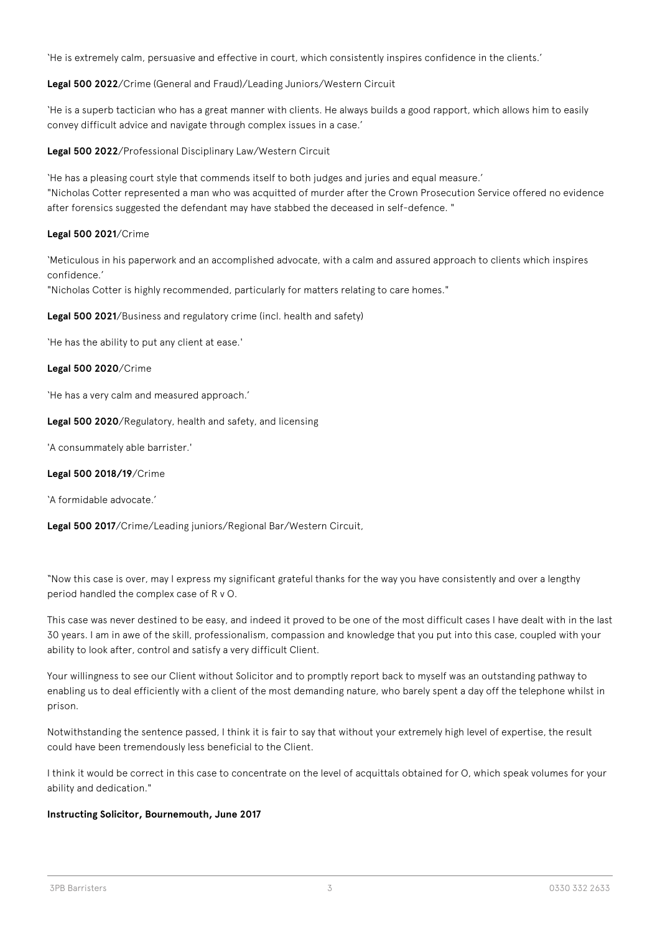'He is extremely calm, persuasive and effective in court, which consistently inspires confidence in the clients.'

**Legal 500 2022**/Crime (General and Fraud)/Leading Juniors/Western Circuit

'He is a superb tactician who has a great manner with clients. He always builds a good rapport, which allows him to easily convey difficult advice and navigate through complex issues in a case.'

**Legal 500 2022**/Professional Disciplinary Law/Western Circuit

'He has a pleasing court style that commends itself to both judges and juries and equal measure.' "Nicholas Cotter represented a man who was acquitted of murder after the Crown Prosecution Service offered no evidence after forensics suggested the defendant may have stabbed the deceased in self-defence. "

### **Legal 500 2021**/Crime

'Meticulous in his paperwork and an accomplished advocate, with a calm and assured approach to clients which inspires confidence.'

"Nicholas Cotter is highly recommended, particularly for matters relating to care homes."

**Legal 500 2021**/Business and regulatory crime (incl. health and safety)

'He has the ability to put any client at ease.'

#### **Legal 500 2020**/Crime

'He has a very calm and measured approach.'

**Legal 500 2020**/Regulatory, health and safety, and licensing

'A consummately able barrister.'

### **Legal 500 2018/19**/Crime

'A formidable advocate.'

**Legal 500 2017**/Crime/Leading juniors/Regional Bar/Western Circuit,

"Now this case is over, may I express my significant grateful thanks for the way you have consistently and over a lengthy period handled the complex case of R v O.

This case was never destined to be easy, and indeed it proved to be one of the most difficult cases I have dealt with in the last 30 years. I am in awe of the skill, professionalism, compassion and knowledge that you put into this case, coupled with your ability to look after, control and satisfy a very difficult Client.

Your willingness to see our Client without Solicitor and to promptly report back to myself was an outstanding pathway to enabling us to deal efficiently with a client of the most demanding nature, who barely spent a day off the telephone whilst in prison.

Notwithstanding the sentence passed, I think it is fair to say that without your extremely high level of expertise, the result could have been tremendously less beneficial to the Client.

I think it would be correct in this case to concentrate on the level of acquittals obtained for O, which speak volumes for your ability and dedication."

# **Instructing Solicitor, Bournemouth, June 2017**